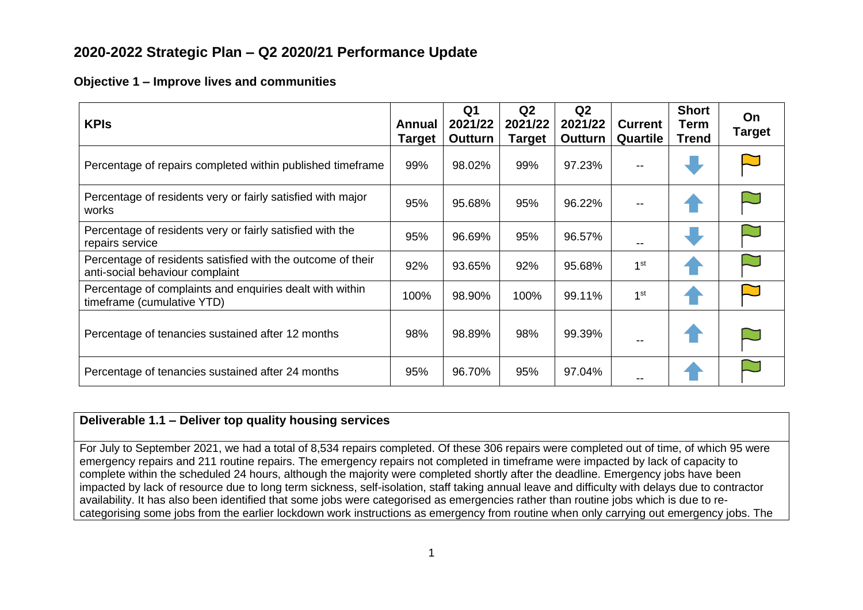# **2020-2022 Strategic Plan – Q2 2020/21 Performance Update**

## **Objective 1 – Improve lives and communities**

| <b>KPIs</b>                                                                                    | Annual<br><b>Target</b> | Q <sub>1</sub><br>2021/22<br><b>Outturn</b> | Q2<br>2021/22<br><b>Target</b> | Q2<br>2021/22<br><b>Outturn</b> | <b>Current</b><br>Quartile | <b>Short</b><br>Term<br><b>Trend</b> | On.<br><b>Target</b> |
|------------------------------------------------------------------------------------------------|-------------------------|---------------------------------------------|--------------------------------|---------------------------------|----------------------------|--------------------------------------|----------------------|
| Percentage of repairs completed within published timeframe                                     |                         | 98.02%                                      | 99%                            | 97.23%                          |                            |                                      |                      |
| Percentage of residents very or fairly satisfied with major<br>works                           |                         | 95.68%                                      | 95%                            | 96.22%                          | --                         |                                      |                      |
| Percentage of residents very or fairly satisfied with the<br>repairs service                   | 95%                     | 96.69%                                      | 95%                            | 96.57%                          | --                         |                                      |                      |
| Percentage of residents satisfied with the outcome of their<br>anti-social behaviour complaint | 92%                     | 93.65%                                      | 92%                            | 95.68%                          | 1 <sup>st</sup>            |                                      |                      |
| Percentage of complaints and enquiries dealt with within<br>timeframe (cumulative YTD)         |                         | 98.90%                                      | 100%                           | 99.11%                          | 1 <sup>st</sup>            |                                      |                      |
| Percentage of tenancies sustained after 12 months                                              | 98%                     | 98.89%                                      | 98%                            | 99.39%                          |                            |                                      |                      |
| Percentage of tenancies sustained after 24 months                                              | 95%                     | 96.70%                                      | 95%                            | 97.04%                          |                            |                                      |                      |

# **Deliverable 1.1 – Deliver top quality housing services**

For July to September 2021, we had a total of 8,534 repairs completed. Of these 306 repairs were completed out of time, of which 95 were emergency repairs and 211 routine repairs. The emergency repairs not completed in timeframe were impacted by lack of capacity to complete within the scheduled 24 hours, although the majority were completed shortly after the deadline. Emergency jobs have been impacted by lack of resource due to long term sickness, self-isolation, staff taking annual leave and difficulty with delays due to contractor availability. It has also been identified that some jobs were categorised as emergencies rather than routine jobs which is due to recategorising some jobs from the earlier lockdown work instructions as emergency from routine when only carrying out emergency jobs. The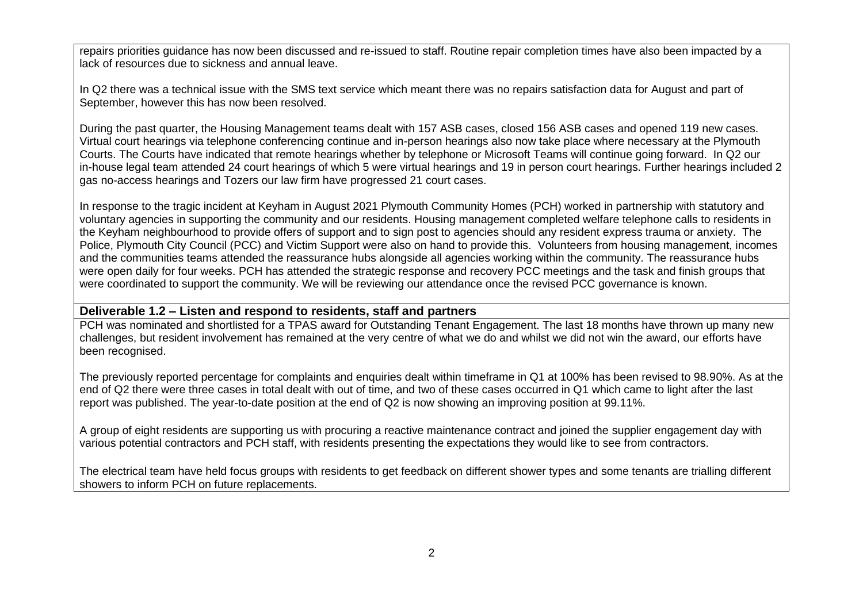repairs priorities guidance has now been discussed and re-issued to staff. Routine repair completion times have also been impacted by a lack of resources due to sickness and annual leave.

In Q2 there was a technical issue with the SMS text service which meant there was no repairs satisfaction data for August and part of September, however this has now been resolved.

During the past quarter, the Housing Management teams dealt with 157 ASB cases, closed 156 ASB cases and opened 119 new cases. Virtual court hearings via telephone conferencing continue and in-person hearings also now take place where necessary at the Plymouth Courts. The Courts have indicated that remote hearings whether by telephone or Microsoft Teams will continue going forward. In Q2 our in-house legal team attended 24 court hearings of which 5 were virtual hearings and 19 in person court hearings. Further hearings included 2 gas no-access hearings and Tozers our law firm have progressed 21 court cases.

In response to the tragic incident at Keyham in August 2021 Plymouth Community Homes (PCH) worked in partnership with statutory and voluntary agencies in supporting the community and our residents. Housing management completed welfare telephone calls to residents in the Keyham neighbourhood to provide offers of support and to sign post to agencies should any resident express trauma or anxiety. The Police, Plymouth City Council (PCC) and Victim Support were also on hand to provide this. Volunteers from housing management, incomes and the communities teams attended the reassurance hubs alongside all agencies working within the community. The reassurance hubs were open daily for four weeks. PCH has attended the strategic response and recovery PCC meetings and the task and finish groups that were coordinated to support the community. We will be reviewing our attendance once the revised PCC governance is known.

#### **Deliverable 1.2 – Listen and respond to residents, staff and partners**

PCH was nominated and shortlisted for a TPAS award for Outstanding Tenant Engagement. The last 18 months have thrown up many new challenges, but resident involvement has remained at the very centre of what we do and whilst we did not win the award, our efforts have been recognised.

The previously reported percentage for complaints and enquiries dealt within timeframe in Q1 at 100% has been revised to 98.90%. As at the end of Q2 there were three cases in total dealt with out of time, and two of these cases occurred in Q1 which came to light after the last report was published. The year-to-date position at the end of Q2 is now showing an improving position at 99.11%.

A group of eight residents are supporting us with procuring a reactive maintenance contract and joined the supplier engagement day with various potential contractors and PCH staff, with residents presenting the expectations they would like to see from contractors.

The electrical team have held focus groups with residents to get feedback on different shower types and some tenants are trialling different showers to inform PCH on future replacements.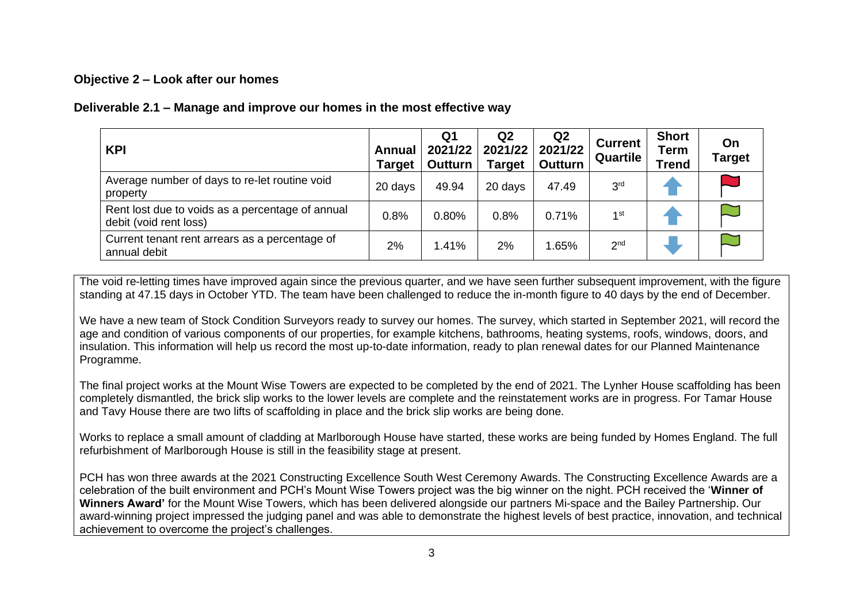### **Objective 2 – Look after our homes**

### **Deliverable 2.1 – Manage and improve our homes in the most effective way**

| <b>KPI</b>                                                                 | Annual<br><b>Target</b> | Q1<br>2021/22<br>Outturn | Q <sub>2</sub><br>2021/22<br><b>Target</b> | Q <sub>2</sub><br>2021/22<br><b>Outturn</b> | <b>Current</b><br>Quartile | <b>Short</b><br>Term<br>Trend | On<br><b>Target</b> |
|----------------------------------------------------------------------------|-------------------------|--------------------------|--------------------------------------------|---------------------------------------------|----------------------------|-------------------------------|---------------------|
| Average number of days to re-let routine void<br>property                  | 20 days                 | 49.94                    | 20 days                                    | 47.49                                       | 3 <sup>rd</sup>            |                               |                     |
| Rent lost due to voids as a percentage of annual<br>debit (void rent loss) |                         | 0.80%                    | 0.8%                                       | 0.71%                                       | $1$ st                     |                               |                     |
| Current tenant rent arrears as a percentage of<br>annual debit             | 2%                      | 1.41%                    | 2%                                         | .65%                                        | 2 <sub>nd</sub>            |                               |                     |

The void re-letting times have improved again since the previous quarter, and we have seen further subsequent improvement, with the figure standing at 47.15 days in October YTD. The team have been challenged to reduce the in-month figure to 40 days by the end of December.

We have a new team of Stock Condition Surveyors ready to survey our homes. The survey, which started in September 2021, will record the age and condition of various components of our properties, for example kitchens, bathrooms, heating systems, roofs, windows, doors, and insulation. This information will help us record the most up-to-date information, ready to plan renewal dates for our Planned Maintenance Programme.

The final project works at the Mount Wise Towers are expected to be completed by the end of 2021. The Lynher House scaffolding has been completely dismantled, the brick slip works to the lower levels are complete and the reinstatement works are in progress. For Tamar House and Tavy House there are two lifts of scaffolding in place and the brick slip works are being done.

Works to replace a small amount of cladding at Marlborough House have started, these works are being funded by Homes England. The full refurbishment of Marlborough House is still in the feasibility stage at present.

PCH has won three awards at the 2021 Constructing Excellence South West Ceremony Awards. The Constructing Excellence Awards are a celebration of the built environment and PCH's Mount Wise Towers project was the big winner on the night. PCH received the '**Winner of Winners Award'** for the Mount Wise Towers, which has been delivered alongside our partners Mi-space and the Bailey Partnership. Our award-winning project impressed the judging panel and was able to demonstrate the highest levels of best practice, innovation, and technical achievement to overcome the project's challenges.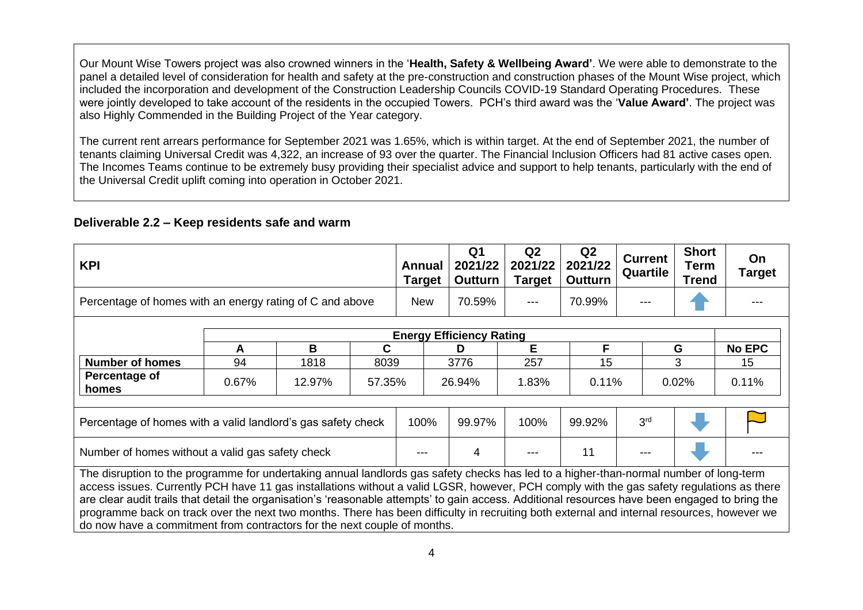Our Mount Wise Towers project was also crowned winners in the '**Health, Safety & Wellbeing Award'**. We were able to demonstrate to the panel a detailed level of consideration for health and safety at the pre-construction and construction phases of the Mount Wise project, which included the incorporation and development of the Construction Leadership Councils COVID-19 Standard Operating Procedures. These were jointly developed to take account of the residents in the occupied Towers. PCH's third award was the '**Value Award'**. The project was also Highly Commended in the Building Project of the Year category.

The current rent arrears performance for September 2021 was 1.65%, which is within target. At the end of September 2021, the number of tenants claiming Universal Credit was 4,322, an increase of 93 over the quarter. The Financial Inclusion Officers had 81 active cases open. The Incomes Teams continue to be extremely busy providing their specialist advice and support to help tenants, particularly with the end of the Universal Credit uplift coming into operation in October 2021.

#### **Deliverable 2.2 – Keep residents safe and warm**

| <b>KPI</b>                                                                                                                                      |       |        | Annual<br><b>Target</b> | Q <sub>1</sub><br>2021/22<br><b>Outturn</b> | Q <sub>2</sub><br>2021/22<br>Target | Q2<br>2021/22<br><b>Outturn</b> | <b>Current</b><br><b>Quartile</b> | <b>Short</b><br>Term<br><b>Trend</b> | On<br><b>Target</b> |               |
|-------------------------------------------------------------------------------------------------------------------------------------------------|-------|--------|-------------------------|---------------------------------------------|-------------------------------------|---------------------------------|-----------------------------------|--------------------------------------|---------------------|---------------|
| Percentage of homes with an energy rating of C and above                                                                                        |       |        | <b>New</b>              | 70.59%                                      | ---                                 | 70.99%                          |                                   |                                      |                     |               |
|                                                                                                                                                 |       |        |                         |                                             | <b>Energy Efficiency Rating</b>     |                                 |                                   |                                      |                     |               |
|                                                                                                                                                 | A     | B      | C                       |                                             | D                                   | Е                               | F.                                |                                      | G                   | <b>No EPC</b> |
| <b>Number of homes</b>                                                                                                                          | 94    | 1818   | 8039                    |                                             | 3776                                | 257                             | 15                                |                                      | 3                   | 15            |
| Percentage of<br>homes                                                                                                                          | 0.67% | 12.97% | 57.35%                  |                                             | 26.94%                              | 1.83%                           | 0.11%                             |                                      | 0.02%               | 0.11%         |
| Percentage of homes with a valid landlord's gas safety check                                                                                    | 100%  | 99.97% | 100%                    | 99.92%                                      | 3 <sup>rd</sup>                     |                                 |                                   |                                      |                     |               |
| Number of homes without a valid gas safety check                                                                                                |       |        |                         |                                             | 4                                   |                                 | 11                                |                                      |                     |               |
| The disruption to the programme for undertaking annual landlords gas safety checks has led to a higher-than-normal number of long-term          |       |        |                         |                                             |                                     |                                 |                                   |                                      |                     |               |
| access issues. Currently PCH have 11 gas installations without a valid LGSR, however, PCH comply with the gas safety regulations as there       |       |        |                         |                                             |                                     |                                 |                                   |                                      |                     |               |
| are clear audit trails that detail the organisation's 'reasonable attempts' to gain access. Additional resources have been engaged to bring the |       |        |                         |                                             |                                     |                                 |                                   |                                      |                     |               |
| programme back on track over the next two months. There has been difficulty in recruiting both external and internal resources, however we      |       |        |                         |                                             |                                     |                                 |                                   |                                      |                     |               |
| do now have a commitment from contractors for the next couple of months.                                                                        |       |        |                         |                                             |                                     |                                 |                                   |                                      |                     |               |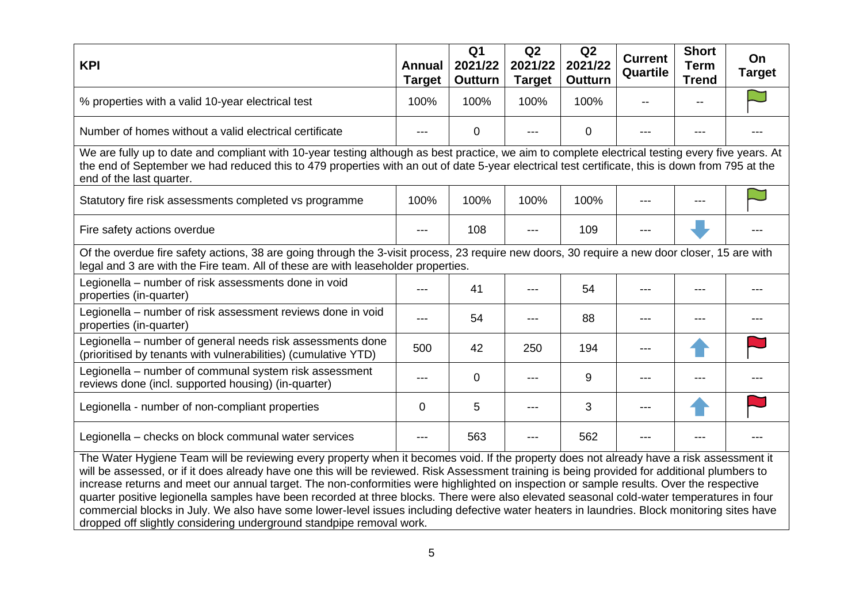| <b>KPI</b>                                                                                                                                                                                                                                                                                                                                                                                                                                                                                                                                                            | <b>Annual</b><br><b>Target</b> | Q <sub>1</sub><br>2021/22<br>Outturn | Q2<br>2021/22<br><b>Target</b> | Q2<br>2021/22<br><b>Outturn</b> | <b>Current</b><br>Quartile | <b>Short</b><br><b>Term</b><br><b>Trend</b> | On<br><b>Target</b> |  |
|-----------------------------------------------------------------------------------------------------------------------------------------------------------------------------------------------------------------------------------------------------------------------------------------------------------------------------------------------------------------------------------------------------------------------------------------------------------------------------------------------------------------------------------------------------------------------|--------------------------------|--------------------------------------|--------------------------------|---------------------------------|----------------------------|---------------------------------------------|---------------------|--|
| % properties with a valid 10-year electrical test                                                                                                                                                                                                                                                                                                                                                                                                                                                                                                                     | 100%                           | 100%                                 | 100%                           | 100%                            |                            |                                             |                     |  |
| Number of homes without a valid electrical certificate                                                                                                                                                                                                                                                                                                                                                                                                                                                                                                                | ---                            | 0                                    |                                | 0                               |                            |                                             |                     |  |
| We are fully up to date and compliant with 10-year testing although as best practice, we aim to complete electrical testing every five years. At<br>the end of September we had reduced this to 479 properties with an out of date 5-year electrical test certificate, this is down from 795 at the<br>end of the last quarter.                                                                                                                                                                                                                                       |                                |                                      |                                |                                 |                            |                                             |                     |  |
| Statutory fire risk assessments completed vs programme                                                                                                                                                                                                                                                                                                                                                                                                                                                                                                                | 100%                           | 100%                                 | 100%                           | 100%                            |                            |                                             |                     |  |
| Fire safety actions overdue                                                                                                                                                                                                                                                                                                                                                                                                                                                                                                                                           |                                | 108                                  |                                | 109                             |                            |                                             |                     |  |
| Of the overdue fire safety actions, 38 are going through the 3-visit process, 23 require new doors, 30 require a new door closer, 15 are with<br>legal and 3 are with the Fire team. All of these are with leaseholder properties.                                                                                                                                                                                                                                                                                                                                    |                                |                                      |                                |                                 |                            |                                             |                     |  |
| Legionella - number of risk assessments done in void<br>properties (in-quarter)                                                                                                                                                                                                                                                                                                                                                                                                                                                                                       | ---                            | 41                                   |                                | 54                              |                            |                                             |                     |  |
| Legionella - number of risk assessment reviews done in void<br>properties (in-quarter)                                                                                                                                                                                                                                                                                                                                                                                                                                                                                | ---                            | 54                                   |                                | 88                              |                            |                                             |                     |  |
| Legionella – number of general needs risk assessments done<br>(prioritised by tenants with vulnerabilities) (cumulative YTD)                                                                                                                                                                                                                                                                                                                                                                                                                                          | 500                            | 42                                   | 250                            | 194                             |                            |                                             |                     |  |
| Legionella – number of communal system risk assessment<br>reviews done (incl. supported housing) (in-quarter)                                                                                                                                                                                                                                                                                                                                                                                                                                                         | ---                            | 0                                    |                                | 9                               | ---                        |                                             |                     |  |
| Legionella - number of non-compliant properties                                                                                                                                                                                                                                                                                                                                                                                                                                                                                                                       | 0                              | 5                                    |                                | 3                               |                            |                                             |                     |  |
| Legionella - checks on block communal water services                                                                                                                                                                                                                                                                                                                                                                                                                                                                                                                  | ---                            | 563                                  |                                | 562                             |                            |                                             |                     |  |
| The Water Hygiene Team will be reviewing every property when it becomes void. If the property does not already have a risk assessment it<br>will be assessed, or if it does already have one this will be reviewed. Risk Assessment training is being provided for additional plumbers to<br>increase returns and meet our annual target. The non-conformities were highlighted on inspection or sample results. Over the respective<br>ar positive legislationale pour hour recorded at three blocks. There were also alcunted cooperated unter temperatures in four |                                |                                      |                                |                                 |                            |                                             |                     |  |

quarter positive legionella samples have been recorded at three blocks. There were also elevated seasonal cold-water temperatures in four commercial blocks in July. We also have some lower-level issues including defective water heaters in laundries. Block monitoring sites have dropped off slightly considering underground standpipe removal work.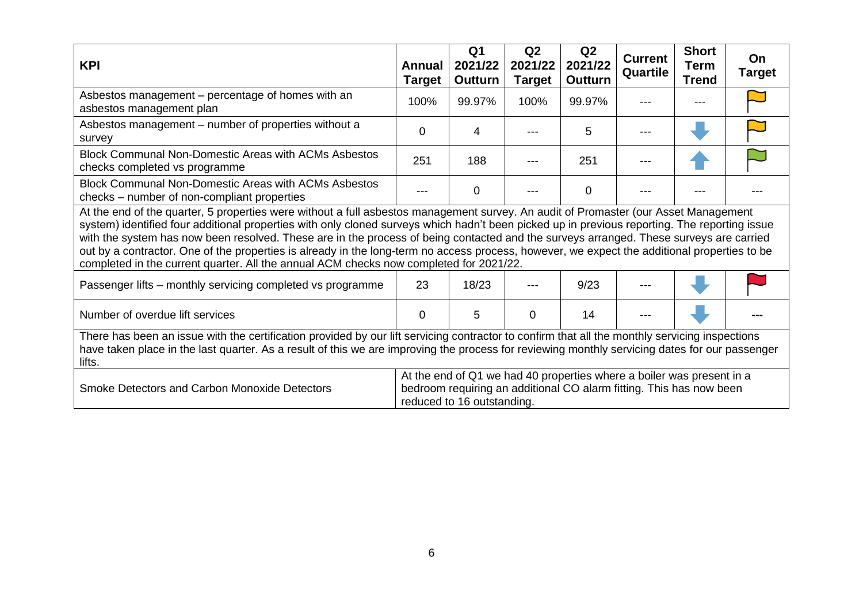| <b>KPI</b>                                                                                                                                                                                                                                                                                                                                                                                                                                                                                                                                                                                                                                                               | Annual<br><b>Target</b> | Q <sub>1</sub><br>2021/22<br>Outturn | Q2<br>2021/22<br><b>Target</b> | Q2<br>2021/22<br><b>Outturn</b> | <b>Current</b><br>Quartile | <b>Short</b><br><b>Term</b><br><b>Trend</b> | On<br><b>Target</b> |  |
|--------------------------------------------------------------------------------------------------------------------------------------------------------------------------------------------------------------------------------------------------------------------------------------------------------------------------------------------------------------------------------------------------------------------------------------------------------------------------------------------------------------------------------------------------------------------------------------------------------------------------------------------------------------------------|-------------------------|--------------------------------------|--------------------------------|---------------------------------|----------------------------|---------------------------------------------|---------------------|--|
| Asbestos management – percentage of homes with an<br>asbestos management plan                                                                                                                                                                                                                                                                                                                                                                                                                                                                                                                                                                                            | 100%                    | 99.97%                               | 100%                           | 99.97%                          |                            |                                             |                     |  |
| Asbestos management - number of properties without a<br>survey                                                                                                                                                                                                                                                                                                                                                                                                                                                                                                                                                                                                           | 0                       | 4                                    |                                | 5                               |                            |                                             |                     |  |
| <b>Block Communal Non-Domestic Areas with ACMs Asbestos</b><br>checks completed vs programme                                                                                                                                                                                                                                                                                                                                                                                                                                                                                                                                                                             | 251                     | 188                                  |                                | 251                             |                            |                                             |                     |  |
| <b>Block Communal Non-Domestic Areas with ACMs Asbestos</b><br>checks – number of non-compliant properties                                                                                                                                                                                                                                                                                                                                                                                                                                                                                                                                                               |                         | 0                                    |                                | $\Omega$                        |                            |                                             |                     |  |
| At the end of the quarter, 5 properties were without a full asbestos management survey. An audit of Promaster (our Asset Management<br>system) identified four additional properties with only cloned surveys which hadn't been picked up in previous reporting. The reporting issue<br>with the system has now been resolved. These are in the process of being contacted and the surveys arranged. These surveys are carried<br>out by a contractor. One of the properties is already in the long-term no access process, however, we expect the additional properties to be<br>completed in the current quarter. All the annual ACM checks now completed for 2021/22. |                         |                                      |                                |                                 |                            |                                             |                     |  |
| Passenger lifts - monthly servicing completed vs programme                                                                                                                                                                                                                                                                                                                                                                                                                                                                                                                                                                                                               | 23                      | 18/23                                |                                | 9/23                            |                            |                                             |                     |  |
| Number of overdue lift services                                                                                                                                                                                                                                                                                                                                                                                                                                                                                                                                                                                                                                          |                         | 5                                    | 0                              | 14                              |                            |                                             |                     |  |
| There has been an issue with the certification provided by our lift servicing contractor to confirm that all the monthly servicing inspections<br>have taken place in the last quarter. As a result of this we are improving the process for reviewing monthly servicing dates for our passenger<br>lifts.                                                                                                                                                                                                                                                                                                                                                               |                         |                                      |                                |                                 |                            |                                             |                     |  |
| At the end of Q1 we had 40 properties where a boiler was present in a<br>Smoke Detectors and Carbon Monoxide Detectors<br>bedroom requiring an additional CO alarm fitting. This has now been<br>reduced to 16 outstanding.                                                                                                                                                                                                                                                                                                                                                                                                                                              |                         |                                      |                                |                                 |                            |                                             |                     |  |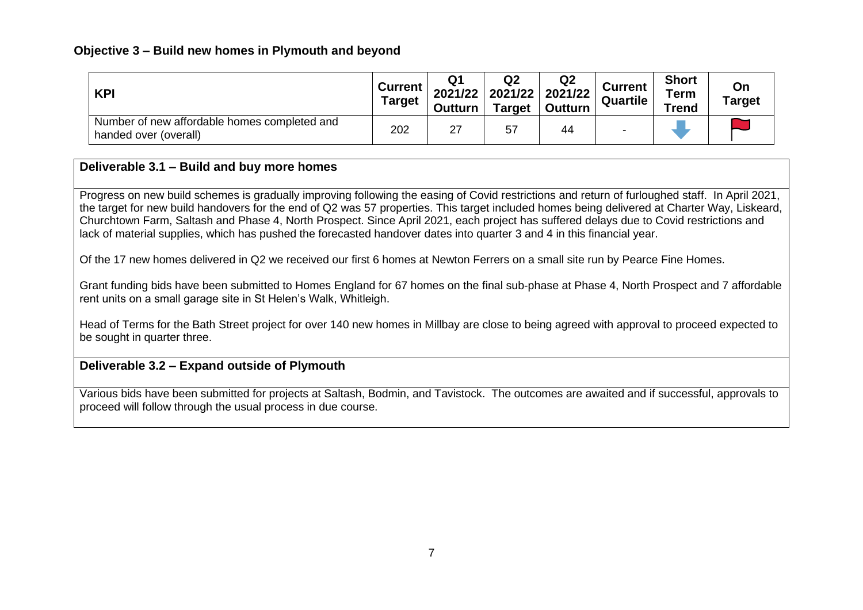### **Objective 3 – Build new homes in Plymouth and beyond**

| <b>KPI</b>                                                            | <b>Current</b><br>Target | Q1<br>2021/22<br><b>Outturn</b> | Q <sub>2</sub><br>2021/22<br><b>Target</b> | Q <sub>2</sub><br>2021/22<br>Outturn | <b>Current</b><br>Quartile | <b>Short</b><br><b>Term</b><br><b>Trend</b> | On<br>Target |
|-----------------------------------------------------------------------|--------------------------|---------------------------------|--------------------------------------------|--------------------------------------|----------------------------|---------------------------------------------|--------------|
| Number of new affordable homes completed and<br>handed over (overall) | 202                      | 27                              | 57                                         | 44                                   | $\overline{\phantom{0}}$   |                                             |              |

# **Deliverable 3.1 – Build and buy more homes**

Progress on new build schemes is gradually improving following the easing of Covid restrictions and return of furloughed staff. In April 2021, the target for new build handovers for the end of Q2 was 57 properties. This target included homes being delivered at Charter Way, Liskeard, Churchtown Farm, Saltash and Phase 4, North Prospect. Since April 2021, each project has suffered delays due to Covid restrictions and lack of material supplies, which has pushed the forecasted handover dates into quarter 3 and 4 in this financial year.

Of the 17 new homes delivered in Q2 we received our first 6 homes at Newton Ferrers on a small site run by Pearce Fine Homes.

Grant funding bids have been submitted to Homes England for 67 homes on the final sub-phase at Phase 4, North Prospect and 7 affordable rent units on a small garage site in St Helen's Walk, Whitleigh.

Head of Terms for the Bath Street project for over 140 new homes in Millbay are close to being agreed with approval to proceed expected to be sought in quarter three.

# **Deliverable 3.2 – Expand outside of Plymouth**

Various bids have been submitted for projects at Saltash, Bodmin, and Tavistock. The outcomes are awaited and if successful, approvals to proceed will follow through the usual process in due course.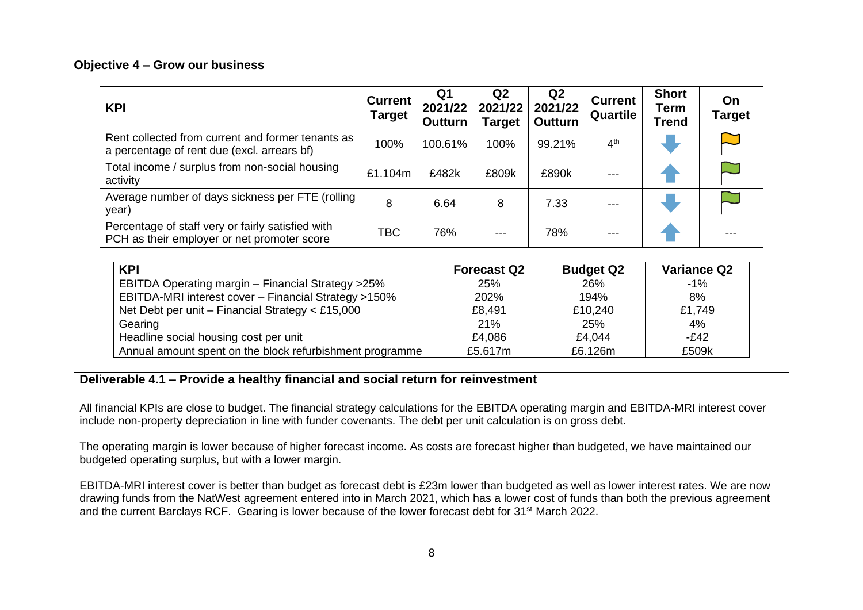#### **Objective 4 – Grow our business**

| <b>KPI</b>                                                                                       | <b>Current</b><br>Target | Q <sub>1</sub><br>2021/22<br><b>Outturn</b> | Q <sub>2</sub><br>2021/22<br><b>Target</b> | Q <sub>2</sub><br>2021/22<br><b>Outturn</b> | <b>Current</b><br>Quartile | <b>Short</b><br>Term<br><b>Trend</b> | On<br><b>Target</b> |
|--------------------------------------------------------------------------------------------------|--------------------------|---------------------------------------------|--------------------------------------------|---------------------------------------------|----------------------------|--------------------------------------|---------------------|
| Rent collected from current and former tenants as<br>a percentage of rent due (excl. arrears bf) | 100%                     | 100.61%                                     | 100%                                       | 99.21%                                      | 4 <sup>th</sup>            |                                      |                     |
| Total income / surplus from non-social housing<br>activity                                       | £1.104m                  | £482k                                       | £809k                                      | £890k                                       |                            |                                      |                     |
| Average number of days sickness per FTE (rolling<br>year)                                        | 8                        | 6.64                                        | 8                                          | 7.33                                        |                            |                                      |                     |
| Percentage of staff very or fairly satisfied with<br>PCH as their employer or net promoter score | <b>TBC</b>               | 76%                                         |                                            | 78%                                         |                            |                                      |                     |

| <b>KPI</b>                                               | <b>Forecast Q2</b> | <b>Budget Q2</b> | <b>Variance Q2</b> |
|----------------------------------------------------------|--------------------|------------------|--------------------|
| EBITDA Operating margin - Financial Strategy >25%        | 25%                | 26%              | $-1\%$             |
| EBITDA-MRI interest cover - Financial Strategy >150%     | 202%               | 194%             | 8%                 |
| Net Debt per unit - Financial Strategy < £15,000         | £8,491             | £10,240          | £1,749             |
| Gearing                                                  | 21%                | 25%              | 4%                 |
| Headline social housing cost per unit                    | £4.086             | £4,044           | $-E42$             |
| Annual amount spent on the block refurbishment programme | £5.617m            | £6.126m          | £509k              |

## **Deliverable 4.1 – Provide a healthy financial and social return for reinvestment**

All financial KPIs are close to budget. The financial strategy calculations for the EBITDA operating margin and EBITDA-MRI interest cover include non-property depreciation in line with funder covenants. The debt per unit calculation is on gross debt.

The operating margin is lower because of higher forecast income. As costs are forecast higher than budgeted, we have maintained our budgeted operating surplus, but with a lower margin.

EBITDA-MRI interest cover is better than budget as forecast debt is £23m lower than budgeted as well as lower interest rates. We are now drawing funds from the NatWest agreement entered into in March 2021, which has a lower cost of funds than both the previous agreement and the current Barclays RCF. Gearing is lower because of the lower forecast debt for 31<sup>st</sup> March 2022.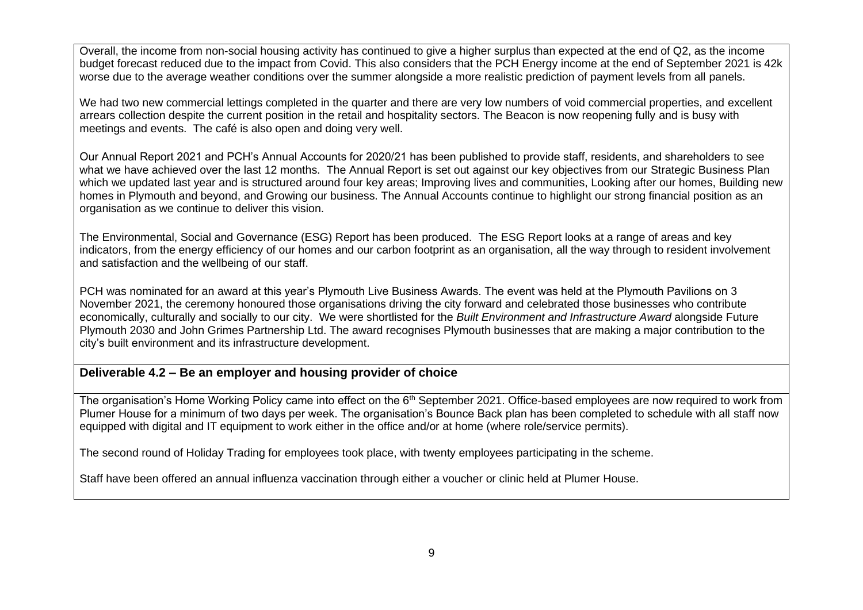Overall, the income from non-social housing activity has continued to give a higher surplus than expected at the end of Q2, as the income budget forecast reduced due to the impact from Covid. This also considers that the PCH Energy income at the end of September 2021 is 42k worse due to the average weather conditions over the summer alongside a more realistic prediction of payment levels from all panels.

We had two new commercial lettings completed in the quarter and there are very low numbers of void commercial properties, and excellent arrears collection despite the current position in the retail and hospitality sectors. The Beacon is now reopening fully and is busy with meetings and events. The café is also open and doing very well.

Our Annual Report 2021 and PCH's Annual Accounts for 2020/21 has been published to provide staff, residents, and shareholders to see what we have achieved over the last 12 months. The Annual Report is set out against our key objectives from our Strategic Business Plan which we updated last year and is structured around four key areas; Improving lives and communities, Looking after our homes, Building new homes in Plymouth and beyond, and Growing our business. The Annual Accounts continue to highlight our strong financial position as an organisation as we continue to deliver this vision.

The Environmental, Social and Governance (ESG) Report has been produced. The ESG Report looks at a range of areas and key indicators, from the energy efficiency of our homes and our carbon footprint as an organisation, all the way through to resident involvement and satisfaction and the wellbeing of our staff.

PCH was nominated for an award at this year's Plymouth Live Business Awards. The event was held at the Plymouth Pavilions on 3 November 2021, the ceremony honoured those organisations driving the city forward and celebrated those businesses who contribute economically, culturally and socially to our city. We were shortlisted for the *Built Environment and Infrastructure Award* alongside Future Plymouth 2030 and John Grimes Partnership Ltd. The award recognises Plymouth businesses that are making a major contribution to the city's built environment and its infrastructure development.

#### **Deliverable 4.2 – Be an employer and housing provider of choice**

The organisation's Home Working Policy came into effect on the 6<sup>th</sup> September 2021. Office-based employees are now required to work from Plumer House for a minimum of two days per week. The organisation's Bounce Back plan has been completed to schedule with all staff now equipped with digital and IT equipment to work either in the office and/or at home (where role/service permits).

The second round of Holiday Trading for employees took place, with twenty employees participating in the scheme.

Staff have been offered an annual influenza vaccination through either a voucher or clinic held at Plumer House.